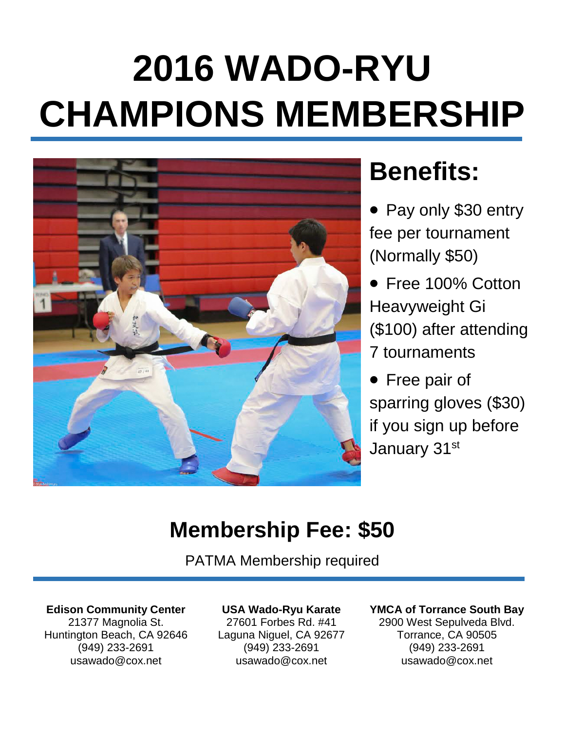# **2016 WADO-RYU CHAMPIONS MEMBERSHIP**



# **Benefits:**

- Pay only \$30 entry fee per tournament (Normally \$50)
- Free 100% Cotton Heavyweight Gi (\$100) after attending 7 tournaments
- Free pair of sparring gloves (\$30) if you sign up before January 31st

### **Membership Fee: \$50**

PATMA Membership required

**Edison Community Center**

21377 Magnolia St. Huntington Beach, CA 92646 (949) 233-2691 usawado@cox.net

#### **USA Wado-Ryu Karate**

27601 Forbes Rd. #41 Laguna Niguel, CA 92677 (949) 233-2691 usawado@cox.net

#### **YMCA of Torrance South Bay**

2900 West Sepulveda Blvd. Torrance, CA 90505 (949) 233-2691 usawado@cox.net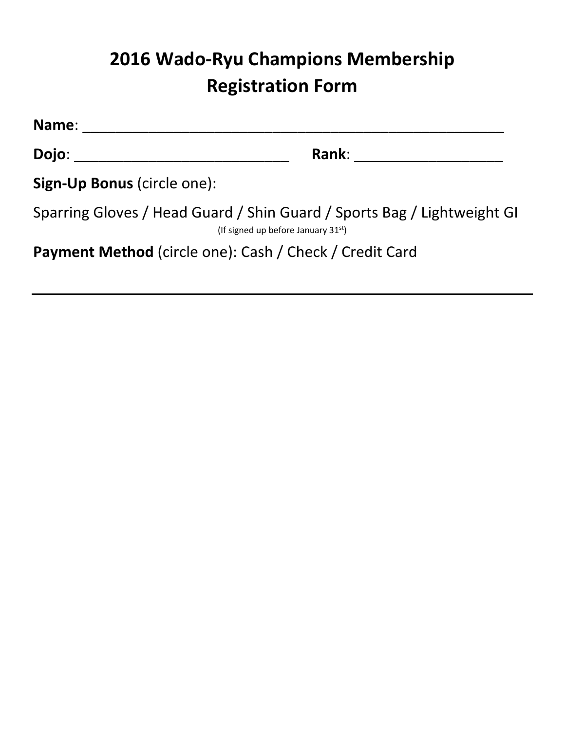### **2016 Wado-Ryu Champions Membership Registration Form**

**Name**: \_\_\_\_\_\_\_\_\_\_\_\_\_\_\_\_\_\_\_\_\_\_\_\_\_\_\_\_\_\_\_\_\_\_\_\_\_\_\_\_\_\_\_\_\_\_\_\_\_\_\_

**Dojo**: \_\_\_\_\_\_\_\_\_\_\_\_\_\_\_\_\_\_\_\_\_\_\_\_\_\_ **Rank**: \_\_\_\_\_\_\_\_\_\_\_\_\_\_\_\_\_\_

**Sign-Up Bonus** (circle one):

Sparring Gloves / Head Guard / Shin Guard / Sports Bag / Lightweight GI (If signed up before January  $31^{st}$ )

**Payment Method** (circle one): Cash / Check / Credit Card